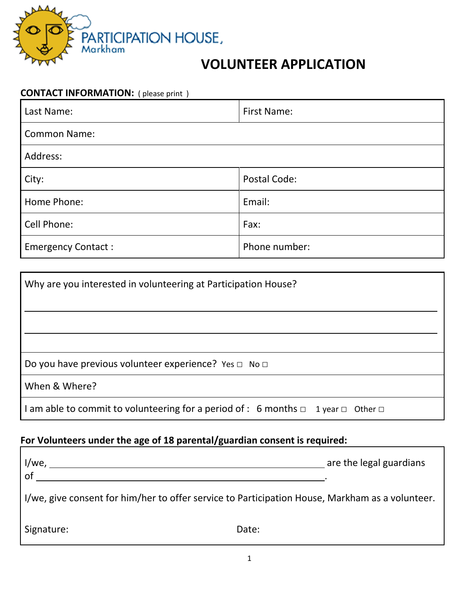

## **VOLUNTEER APPLICATION**

| <b>CONTACT INFORMATION:</b> (please print) |                    |  |
|--------------------------------------------|--------------------|--|
| Last Name:                                 | <b>First Name:</b> |  |
| <b>Common Name:</b>                        |                    |  |
| Address:                                   |                    |  |
| City:                                      | Postal Code:       |  |
| Home Phone:                                | Email:             |  |
| Cell Phone:                                | Fax:               |  |
| <b>Emergency Contact:</b>                  | Phone number:      |  |

| Why are you interested in volunteering at Participation House?                                   |  |
|--------------------------------------------------------------------------------------------------|--|
|                                                                                                  |  |
|                                                                                                  |  |
|                                                                                                  |  |
| Do you have previous volunteer experience? Yes $\Box$ No $\Box$                                  |  |
| When & Where?                                                                                    |  |
| I am able to commit to volunteering for a period of : 6 months $\Box$ 1 year $\Box$ Other $\Box$ |  |

# **For Volunteers under the age of 18 parental/guardian consent is required:**

| l/we,<br>of                                                                                     | are the legal guardians |  |
|-------------------------------------------------------------------------------------------------|-------------------------|--|
| I/we, give consent for him/her to offer service to Participation House, Markham as a volunteer. |                         |  |
| Signature:                                                                                      | Date:                   |  |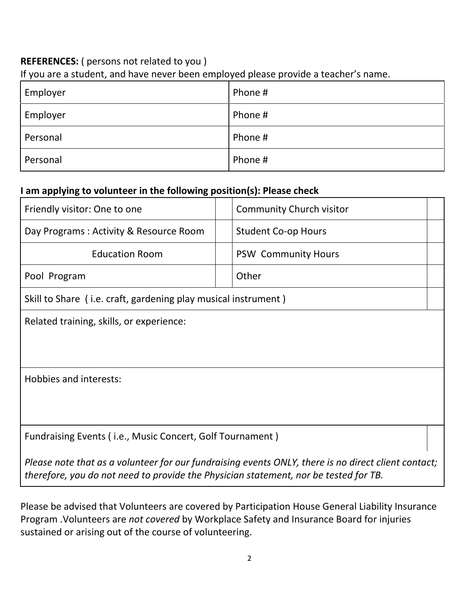#### **REFERENCES:** ( persons not related to you )

If you are a student, and have never been employed please provide a teacher's name.

| Employer | Phone # |
|----------|---------|
| Employer | Phone # |
| Personal | Phone # |
| Personal | Phone # |

## **I am applying to volunteer in the following position(s): Please check**

| Friendly visitor: One to one                                                                                                                                                                | <b>Community Church visitor</b> |  |
|---------------------------------------------------------------------------------------------------------------------------------------------------------------------------------------------|---------------------------------|--|
| Day Programs: Activity & Resource Room                                                                                                                                                      | <b>Student Co-op Hours</b>      |  |
| <b>Education Room</b>                                                                                                                                                                       | <b>PSW Community Hours</b>      |  |
| Pool Program                                                                                                                                                                                | Other                           |  |
| Skill to Share (i.e. craft, gardening play musical instrument)                                                                                                                              |                                 |  |
| Related training, skills, or experience:                                                                                                                                                    |                                 |  |
| Hobbies and interests:                                                                                                                                                                      |                                 |  |
| Fundraising Events (i.e., Music Concert, Golf Tournament)                                                                                                                                   |                                 |  |
| Please note that as a volunteer for our fundraising events ONLY, there is no direct client contact;<br>therefore, you do not need to provide the Physician statement, nor be tested for TB. |                                 |  |

Please be advised that Volunteers are covered by Participation House General Liability Insurance Program .Volunteers are *not covered* by Workplace Safety and Insurance Board for injuries sustained or arising out of the course of volunteering.